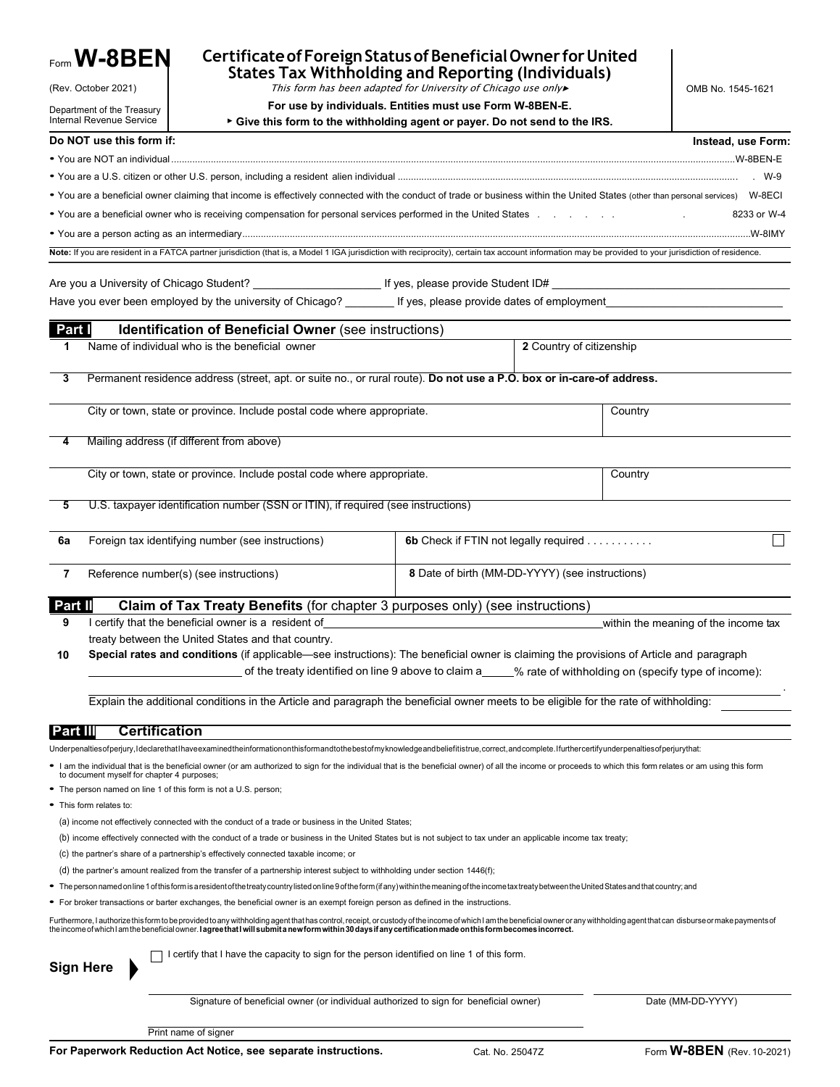|                                                                                                                                                                                                                                                            | $_{\sf Form}$ W-8BEN                                                    | Certificate of Foreign Status of Beneficial Owner for United<br><b>States Tax Withholding and Reporting (Individuals)</b>                                                                                                                                                                                                                      |                                                 |                          |         |                                      |  |  |
|------------------------------------------------------------------------------------------------------------------------------------------------------------------------------------------------------------------------------------------------------------|-------------------------------------------------------------------------|------------------------------------------------------------------------------------------------------------------------------------------------------------------------------------------------------------------------------------------------------------------------------------------------------------------------------------------------|-------------------------------------------------|--------------------------|---------|--------------------------------------|--|--|
|                                                                                                                                                                                                                                                            | (Rev. October 2021)                                                     |                                                                                                                                                                                                                                                                                                                                                | OMB No. 1545-1621                               |                          |         |                                      |  |  |
|                                                                                                                                                                                                                                                            | Department of the Treasury<br>Internal Revenue Service                  |                                                                                                                                                                                                                                                                                                                                                |                                                 |                          |         |                                      |  |  |
|                                                                                                                                                                                                                                                            | Do NOT use this form if:                                                | ▶ Give this form to the withholding agent or payer. Do not send to the IRS.                                                                                                                                                                                                                                                                    |                                                 |                          |         |                                      |  |  |
|                                                                                                                                                                                                                                                            |                                                                         |                                                                                                                                                                                                                                                                                                                                                |                                                 |                          |         | Instead, use Form:                   |  |  |
|                                                                                                                                                                                                                                                            |                                                                         |                                                                                                                                                                                                                                                                                                                                                |                                                 |                          |         |                                      |  |  |
|                                                                                                                                                                                                                                                            |                                                                         | . You are a beneficial owner claiming that income is effectively connected with the conduct of trade or business within the United States (other than personal services) W-8ECI                                                                                                                                                                |                                                 |                          |         |                                      |  |  |
|                                                                                                                                                                                                                                                            |                                                                         |                                                                                                                                                                                                                                                                                                                                                |                                                 |                          |         | 8233 or W-4                          |  |  |
|                                                                                                                                                                                                                                                            |                                                                         |                                                                                                                                                                                                                                                                                                                                                |                                                 |                          |         |                                      |  |  |
|                                                                                                                                                                                                                                                            |                                                                         | Note: If you are resident in a FATCA partner jurisdiction (that is, a Model 1 IGA jurisdiction with reciprocity), certain tax account information may be provided to your jurisdiction of residence.                                                                                                                                           |                                                 |                          |         |                                      |  |  |
|                                                                                                                                                                                                                                                            |                                                                         | _ Are you a University of Chicago Student? _________________________ If yes, please provide Student ID#                                                                                                                                                                                                                                        |                                                 |                          |         |                                      |  |  |
|                                                                                                                                                                                                                                                            |                                                                         | Have you ever been employed by the university of Chicago? [15] If yes, please provide dates of employment                                                                                                                                                                                                                                      |                                                 |                          |         |                                      |  |  |
|                                                                                                                                                                                                                                                            |                                                                         |                                                                                                                                                                                                                                                                                                                                                |                                                 |                          |         |                                      |  |  |
| Part I                                                                                                                                                                                                                                                     |                                                                         | <b>Identification of Beneficial Owner</b> (see instructions)                                                                                                                                                                                                                                                                                   |                                                 |                          |         |                                      |  |  |
| 1                                                                                                                                                                                                                                                          |                                                                         | Name of individual who is the beneficial owner                                                                                                                                                                                                                                                                                                 |                                                 | 2 Country of citizenship |         |                                      |  |  |
| 3                                                                                                                                                                                                                                                          |                                                                         | Permanent residence address (street, apt. or suite no., or rural route). Do not use a P.O. box or in-care-of address.                                                                                                                                                                                                                          |                                                 |                          |         |                                      |  |  |
|                                                                                                                                                                                                                                                            |                                                                         | City or town, state or province. Include postal code where appropriate.                                                                                                                                                                                                                                                                        |                                                 |                          | Country |                                      |  |  |
|                                                                                                                                                                                                                                                            |                                                                         | Mailing address (if different from above)                                                                                                                                                                                                                                                                                                      |                                                 |                          |         |                                      |  |  |
|                                                                                                                                                                                                                                                            | City or town, state or province. Include postal code where appropriate. | Country                                                                                                                                                                                                                                                                                                                                        |                                                 |                          |         |                                      |  |  |
| 5                                                                                                                                                                                                                                                          |                                                                         | U.S. taxpayer identification number (SSN or ITIN), if required (see instructions)                                                                                                                                                                                                                                                              |                                                 |                          |         |                                      |  |  |
| 6a                                                                                                                                                                                                                                                         |                                                                         | Foreign tax identifying number (see instructions)                                                                                                                                                                                                                                                                                              | 6b Check if FTIN not legally required           |                          |         |                                      |  |  |
| 7                                                                                                                                                                                                                                                          |                                                                         | Reference number(s) (see instructions)                                                                                                                                                                                                                                                                                                         | 8 Date of birth (MM-DD-YYYY) (see instructions) |                          |         |                                      |  |  |
| Part II                                                                                                                                                                                                                                                    |                                                                         | Claim of Tax Treaty Benefits (for chapter 3 purposes only) (see instructions)                                                                                                                                                                                                                                                                  |                                                 |                          |         |                                      |  |  |
| 9                                                                                                                                                                                                                                                          |                                                                         | I certify that the beneficial owner is a resident of                                                                                                                                                                                                                                                                                           |                                                 |                          |         | within the meaning of the income tax |  |  |
|                                                                                                                                                                                                                                                            |                                                                         | treaty between the United States and that country.                                                                                                                                                                                                                                                                                             |                                                 |                          |         |                                      |  |  |
| Special rates and conditions (if applicable—see instructions): The beneficial owner is claiming the provisions of Article and paragraph<br>10<br>of the treaty identified on line 9 above to claim a____% rate of withholding on (specify type of income): |                                                                         |                                                                                                                                                                                                                                                                                                                                                |                                                 |                          |         |                                      |  |  |
|                                                                                                                                                                                                                                                            |                                                                         | Explain the additional conditions in the Article and paragraph the beneficial owner meets to be eligible for the rate of withholding:                                                                                                                                                                                                          |                                                 |                          |         |                                      |  |  |
| <b>Part III</b>                                                                                                                                                                                                                                            | <b>Certification</b>                                                    |                                                                                                                                                                                                                                                                                                                                                |                                                 |                          |         |                                      |  |  |
|                                                                                                                                                                                                                                                            |                                                                         | Underpenaltiesofperjury, Ideclarethat Ihaveexamined the information on this formand to the best of my knowledge and beliefit istrue, correct, and complete. I further certify underpenalties of perjury that:                                                                                                                                  |                                                 |                          |         |                                      |  |  |
|                                                                                                                                                                                                                                                            | to document myself for chapter 4 purposes;                              | I am the individual that is the beneficial owner (or am authorized to sign for the individual that is the beneficial owner) of all the income or proceeds to which this form relates or am using this form                                                                                                                                     |                                                 |                          |         |                                      |  |  |
|                                                                                                                                                                                                                                                            |                                                                         | • The person named on line 1 of this form is not a U.S. person;                                                                                                                                                                                                                                                                                |                                                 |                          |         |                                      |  |  |
|                                                                                                                                                                                                                                                            | • This form relates to:                                                 |                                                                                                                                                                                                                                                                                                                                                |                                                 |                          |         |                                      |  |  |
|                                                                                                                                                                                                                                                            |                                                                         | (a) income not effectively connected with the conduct of a trade or business in the United States;                                                                                                                                                                                                                                             |                                                 |                          |         |                                      |  |  |
|                                                                                                                                                                                                                                                            |                                                                         | (b) income effectively connected with the conduct of a trade or business in the United States but is not subject to tax under an applicable income tax treaty;                                                                                                                                                                                 |                                                 |                          |         |                                      |  |  |
|                                                                                                                                                                                                                                                            |                                                                         | (c) the partner's share of a partnership's effectively connected taxable income; or                                                                                                                                                                                                                                                            |                                                 |                          |         |                                      |  |  |
|                                                                                                                                                                                                                                                            |                                                                         | (d) the partner's amount realized from the transfer of a partnership interest subject to withholding under section 1446(f);<br>• The person named on line 1 of this form is a resident of the treaty country listed on line 9 of the form (if any) within the meaning of the income tax treaty between the United States and that country; and |                                                 |                          |         |                                      |  |  |
|                                                                                                                                                                                                                                                            |                                                                         | • For broker transactions or barter exchanges, the beneficial owner is an exempt foreign person as defined in the instructions.                                                                                                                                                                                                                |                                                 |                          |         |                                      |  |  |
|                                                                                                                                                                                                                                                            |                                                                         | Furthermore, I authorize this form to be provided to any withholding agent that has control, receipt, or custody of the income of which I am the beneficial owner or any withholding agent that can disburse or make payments                                                                                                                  |                                                 |                          |         |                                      |  |  |
| <b>Sign Here</b>                                                                                                                                                                                                                                           |                                                                         | I certify that I have the capacity to sign for the person identified on line 1 of this form.                                                                                                                                                                                                                                                   |                                                 |                          |         |                                      |  |  |
|                                                                                                                                                                                                                                                            |                                                                         | Signature of beneficial owner (or individual authorized to sign for beneficial owner)                                                                                                                                                                                                                                                          |                                                 |                          |         | Date (MM-DD-YYYY)                    |  |  |

Print name of signer